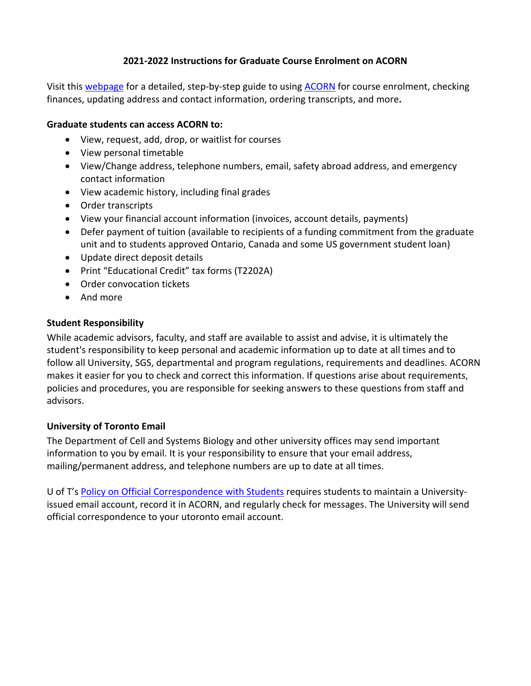## **2021‐2022 Instructions for Graduate Course Enrolment on ACORN**

Visit this webpage for a detailed, step‐by‐step guide to using ACORN for course enrolment, checking finances, updating address and contact information, ordering transcripts, and more**.** 

## **Graduate students can access ACORN to:**

- View, request, add, drop, or waitlist for courses
- View personal timetable
- View/Change address, telephone numbers, email, safety abroad address, and emergency contact information
- View academic history, including final grades
- Order transcripts
- View your financial account information (invoices, account details, payments)
- Defer payment of tuition (available to recipients of a funding commitment from the graduate unit and to students approved Ontario, Canada and some US government student loan)
- Update direct deposit details
- Print "Educational Credit" tax forms (T2202A)
- Order convocation tickets
- And more

## **Student Responsibility**

While academic advisors, faculty, and staff are available to assist and advise, it is ultimately the student's responsibility to keep personal and academic information up to date at all times and to follow all University, SGS, departmental and program regulations, requirements and deadlines. ACORN makes it easier for you to check and correct this information. If questions arise about requirements, policies and procedures, you are responsible for seeking answers to these questions from staff and advisors.

# **University of Toronto Email**

The Department of Cell and Systems Biology and other university offices may send important information to you by email. It is your responsibility to ensure that your email address, mailing/permanent address, and telephone numbers are up to date at all times.

U of T's Policy on Official Correspondence with Students requires students to maintain a University‐ issued email account, record it in ACORN, and regularly check for messages. The University will send official correspondence to your utoronto email account.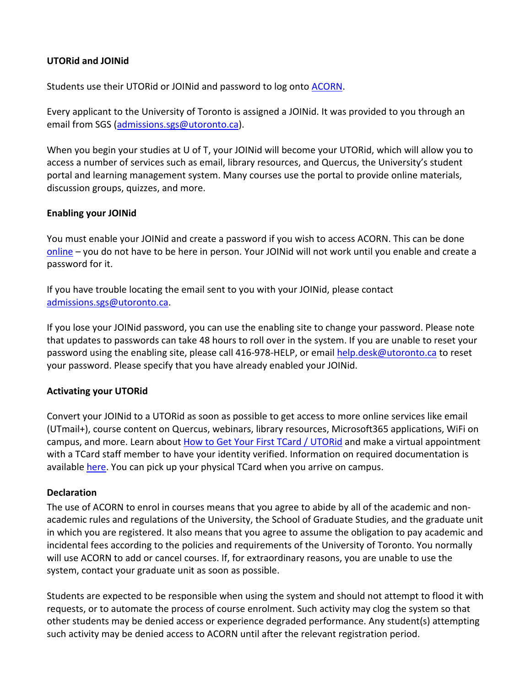## **UTORid and JOINid**

Students use their UTORid or JOINid and password to log onto ACORN.

Every applicant to the University of Toronto is assigned a JOINid. It was provided to you through an email from SGS (admissions.sgs@utoronto.ca).

When you begin your studies at U of T, your JOINid will become your UTORid, which will allow you to access a number of services such as email, library resources, and Quercus, the University's student portal and learning management system. Many courses use the portal to provide online materials, discussion groups, quizzes, and more.

## **Enabling your JOINid**

You must enable your JOINid and create a password if you wish to access ACORN. This can be done online – you do not have to be here in person. Your JOINid will not work until you enable and create a password for it.

If you have trouble locating the email sent to you with your JOINid, please contact admissions.sgs@utoronto.ca.

If you lose your JOINid password, you can use the enabling site to change your password. Please note that updates to passwords can take 48 hours to roll over in the system. If you are unable to reset your password using the enabling site, please call 416‐978‐HELP, or email help.desk@utoronto.ca to reset your password. Please specify that you have already enabled your JOINid.

# **Activating your UTORid**

Convert your JOINid to a UTORid as soon as possible to get access to more online services like email (UTmail+), course content on Quercus, webinars, library resources, Microsoft365 applications, WiFi on campus, and more. Learn about How to Get Your First TCard / UTORid and make a virtual appointment with a TCard staff member to have your identity verified. Information on required documentation is available here. You can pick up your physical TCard when you arrive on campus.

#### **Declaration**

The use of ACORN to enrol in courses means that you agree to abide by all of the academic and non‐ academic rules and regulations of the University, the School of Graduate Studies, and the graduate unit in which you are registered. It also means that you agree to assume the obligation to pay academic and incidental fees according to the policies and requirements of the University of Toronto. You normally will use ACORN to add or cancel courses. If, for extraordinary reasons, you are unable to use the system, contact your graduate unit as soon as possible.

Students are expected to be responsible when using the system and should not attempt to flood it with requests, or to automate the process of course enrolment. Such activity may clog the system so that other students may be denied access or experience degraded performance. Any student(s) attempting such activity may be denied access to ACORN until after the relevant registration period.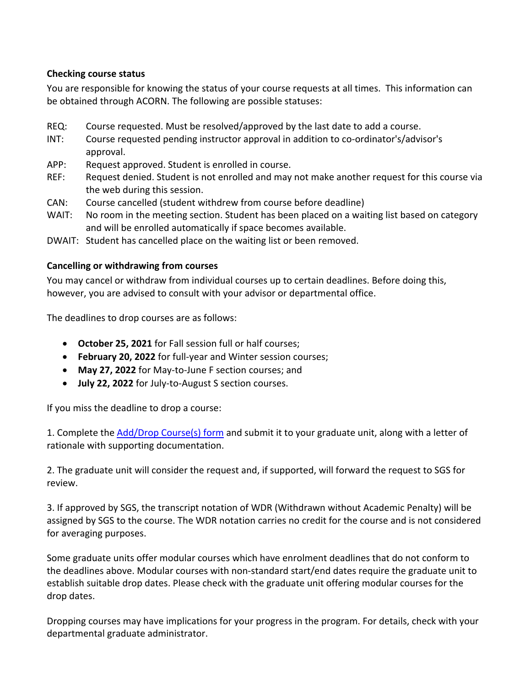# **Checking course status**

You are responsible for knowing the status of your course requests at all times. This information can be obtained through ACORN. The following are possible statuses:

- REQ: Course requested. Must be resolved/approved by the last date to add a course.
- INT: Course requested pending instructor approval in addition to co‐ordinator's/advisor's approval.
- APP: Request approved. Student is enrolled in course.
- REF: Request denied. Student is not enrolled and may not make another request for this course via the web during this session.
- CAN: Course cancelled (student withdrew from course before deadline)
- WAIT: No room in the meeting section. Student has been placed on a waiting list based on category and will be enrolled automatically if space becomes available.
- DWAIT: Student has cancelled place on the waiting list or been removed.

## **Cancelling or withdrawing from courses**

You may cancel or withdraw from individual courses up to certain deadlines. Before doing this, however, you are advised to consult with your advisor or departmental office.

The deadlines to drop courses are as follows:

- **October 25, 2021** for Fall session full or half courses;
- **February 20, 2022** for full‐year and Winter session courses;
- **May 27, 2022** for May‐to‐June F section courses; and
- **July 22, 2022** for July‐to‐August S section courses.

If you miss the deadline to drop a course:

1. Complete the Add/Drop Course(s) form and submit it to your graduate unit, along with a letter of rationale with supporting documentation.

2. The graduate unit will consider the request and, if supported, will forward the request to SGS for review.

3. If approved by SGS, the transcript notation of WDR (Withdrawn without Academic Penalty) will be assigned by SGS to the course. The WDR notation carries no credit for the course and is not considered for averaging purposes.

Some graduate units offer modular courses which have enrolment deadlines that do not conform to the deadlines above. Modular courses with non‐standard start/end dates require the graduate unit to establish suitable drop dates. Please check with the graduate unit offering modular courses for the drop dates.

Dropping courses may have implications for your progress in the program. For details, check with your departmental graduate administrator.